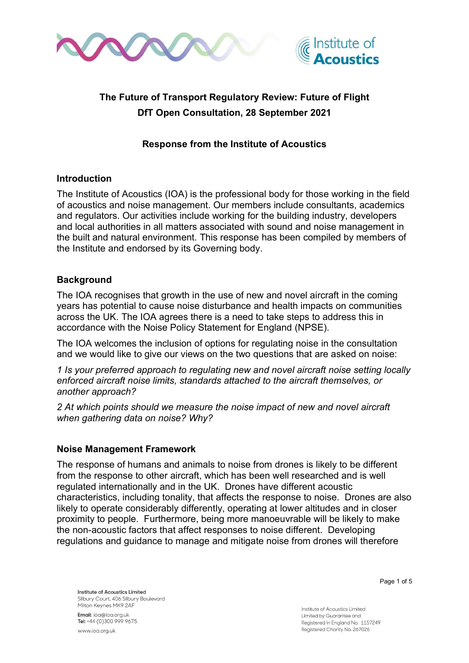



# The Future of Transport Regulatory Review: Future of Flight DfT Open Consultation, 28 September 2021

# Response from the Institute of Acoustics

#### Introduction

The Institute of Acoustics (IOA) is the professional body for those working in the field of acoustics and noise management. Our members include consultants, academics and regulators. Our activities include working for the building industry, developers and local authorities in all matters associated with sound and noise management in the built and natural environment. This response has been compiled by members of the Institute and endorsed by its Governing body.

# **Background**

The IOA recognises that growth in the use of new and novel aircraft in the coming years has potential to cause noise disturbance and health impacts on communities across the UK. The IOA agrees there is a need to take steps to address this in accordance with the Noise Policy Statement for England (NPSE).

The IOA welcomes the inclusion of options for regulating noise in the consultation and we would like to give our views on the two questions that are asked on noise:

1 Is your preferred approach to regulating new and novel aircraft noise setting locally enforced aircraft noise limits, standards attached to the aircraft themselves, or another approach?

2 At which points should we measure the noise impact of new and novel aircraft when gathering data on noise? Why?

#### Noise Management Framework

The response of humans and animals to noise from drones is likely to be different from the response to other aircraft, which has been well researched and is well regulated internationally and in the UK. Drones have different acoustic characteristics, including tonality, that affects the response to noise. Drones are also likely to operate considerably differently, operating at lower altitudes and in closer proximity to people. Furthermore, being more manoeuvrable will be likely to make the non-acoustic factors that affect responses to noise different. Developing regulations and guidance to manage and mitigate noise from drones will therefore

Institute of Acoustics Limited Silbury Court, 406 Silbury Boulevard Milton Keynes MK9 2AF

Email: ioa@ioa.org.uk Tel: +44 (0)300 999 9675 www.jog.org.uk

Page 1 of 5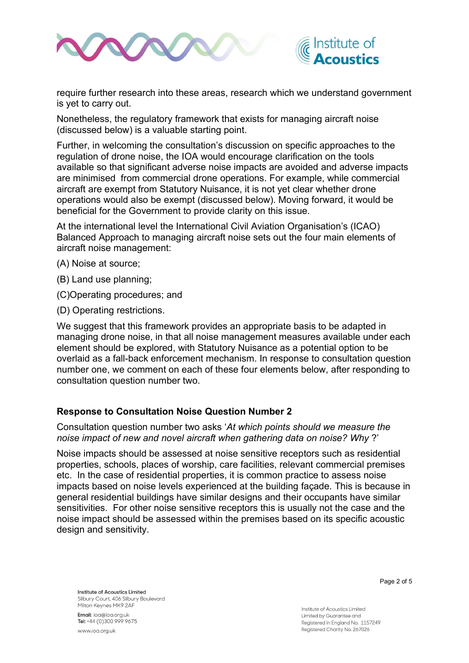



require further research into these areas, research which we understand government is yet to carry out.

Nonetheless, the regulatory framework that exists for managing aircraft noise (discussed below) is a valuable starting point.

Further, in welcoming the consultation's discussion on specific approaches to the regulation of drone noise, the IOA would encourage clarification on the tools available so that significant adverse noise impacts are avoided and adverse impacts are minimised from commercial drone operations. For example, while commercial aircraft are exempt from Statutory Nuisance, it is not yet clear whether drone operations would also be exempt (discussed below). Moving forward, it would be beneficial for the Government to provide clarity on this issue.

At the international level the International Civil Aviation Organisation's (ICAO) Balanced Approach to managing aircraft noise sets out the four main elements of aircraft noise management:

- (A) Noise at source;
- (B) Land use planning;
- (C)Operating procedures; and
- (D) Operating restrictions.

We suggest that this framework provides an appropriate basis to be adapted in managing drone noise, in that all noise management measures available under each element should be explored, with Statutory Nuisance as a potential option to be overlaid as a fall-back enforcement mechanism. In response to consultation question number one, we comment on each of these four elements below, after responding to consultation question number two.

#### Response to Consultation Noise Question Number 2

Consultation question number two asks 'At which points should we measure the noise impact of new and novel aircraft when gathering data on noise? Why ?'

Noise impacts should be assessed at noise sensitive receptors such as residential properties, schools, places of worship, care facilities, relevant commercial premises etc. In the case of residential properties, it is common practice to assess noise impacts based on noise levels experienced at the building façade. This is because in general residential buildings have similar designs and their occupants have similar sensitivities. For other noise sensitive receptors this is usually not the case and the noise impact should be assessed within the premises based on its specific acoustic design and sensitivity.

Page 2 of 5

Institute of Acoustics Limited Silbury Court, 406 Silbury Boulevard Milton Keynes MK9 2AF

Email: ioa@ioa.org.uk Tel: +44 (0)300 999 9675 www.jog.org.uk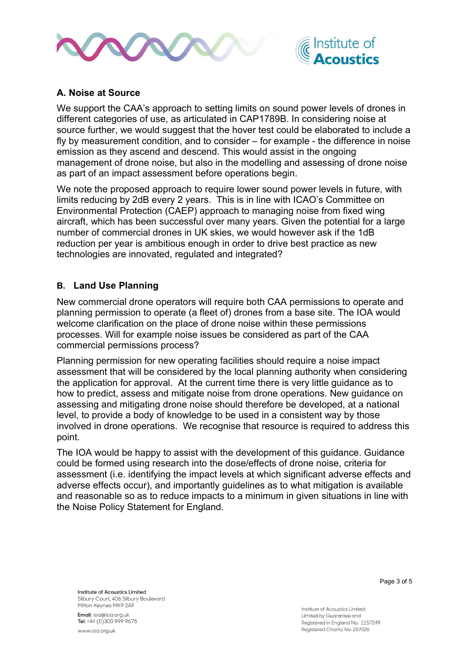



# A. Noise at Source

We support the CAA's approach to setting limits on sound power levels of drones in different categories of use, as articulated in CAP1789B. In considering noise at source further, we would suggest that the hover test could be elaborated to include a fly by measurement condition, and to consider – for example - the difference in noise emission as they ascend and descend. This would assist in the ongoing management of drone noise, but also in the modelling and assessing of drone noise as part of an impact assessment before operations begin.

We note the proposed approach to require lower sound power levels in future, with limits reducing by 2dB every 2 years. This is in line with ICAO's Committee on Environmental Protection (CAEP) approach to managing noise from fixed wing aircraft, which has been successful over many years. Given the potential for a large number of commercial drones in UK skies, we would however ask if the 1dB reduction per year is ambitious enough in order to drive best practice as new technologies are innovated, regulated and integrated?

#### B. Land Use Planning

New commercial drone operators will require both CAA permissions to operate and planning permission to operate (a fleet of) drones from a base site. The IOA would welcome clarification on the place of drone noise within these permissions processes. Will for example noise issues be considered as part of the CAA commercial permissions process?

Planning permission for new operating facilities should require a noise impact assessment that will be considered by the local planning authority when considering the application for approval. At the current time there is very little guidance as to how to predict, assess and mitigate noise from drone operations. New guidance on assessing and mitigating drone noise should therefore be developed, at a national level, to provide a body of knowledge to be used in a consistent way by those involved in drone operations. We recognise that resource is required to address this point.

The IOA would be happy to assist with the development of this guidance. Guidance could be formed using research into the dose/effects of drone noise, criteria for assessment (i.e. identifying the impact levels at which significant adverse effects and adverse effects occur), and importantly guidelines as to what mitigation is available and reasonable so as to reduce impacts to a minimum in given situations in line with the Noise Policy Statement for England.

Institute of Acoustics Limited Silbury Court, 406 Silbury Boulevard Milton Keynes MK9 2AF

Email: ioa@ioa.org.uk Tel: +44 (0)300 999 9675 www.jog.org.uk

Page 3 of 5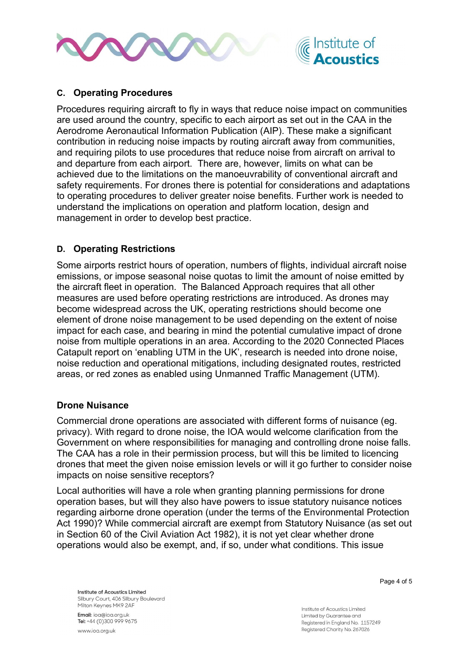



# C. Operating Procedures

Procedures requiring aircraft to fly in ways that reduce noise impact on communities are used around the country, specific to each airport as set out in the CAA in the Aerodrome Aeronautical Information Publication (AIP). These make a significant contribution in reducing noise impacts by routing aircraft away from communities, and requiring pilots to use procedures that reduce noise from aircraft on arrival to and departure from each airport. There are, however, limits on what can be achieved due to the limitations on the manoeuvrability of conventional aircraft and safety requirements. For drones there is potential for considerations and adaptations to operating procedures to deliver greater noise benefits. Further work is needed to understand the implications on operation and platform location, design and management in order to develop best practice.

# D. Operating Restrictions

Some airports restrict hours of operation, numbers of flights, individual aircraft noise emissions, or impose seasonal noise quotas to limit the amount of noise emitted by the aircraft fleet in operation. The Balanced Approach requires that all other measures are used before operating restrictions are introduced. As drones may become widespread across the UK, operating restrictions should become one element of drone noise management to be used depending on the extent of noise impact for each case, and bearing in mind the potential cumulative impact of drone noise from multiple operations in an area. According to the 2020 Connected Places Catapult report on 'enabling UTM in the UK', research is needed into drone noise, noise reduction and operational mitigations, including designated routes, restricted areas, or red zones as enabled using Unmanned Traffic Management (UTM).

#### Drone Nuisance

Commercial drone operations are associated with different forms of nuisance (eg. privacy). With regard to drone noise, the IOA would welcome clarification from the Government on where responsibilities for managing and controlling drone noise falls. The CAA has a role in their permission process, but will this be limited to licencing drones that meet the given noise emission levels or will it go further to consider noise impacts on noise sensitive receptors?

Local authorities will have a role when granting planning permissions for drone operation bases, but will they also have powers to issue statutory nuisance notices regarding airborne drone operation (under the terms of the Environmental Protection Act 1990)? While commercial aircraft are exempt from Statutory Nuisance (as set out in Section 60 of the Civil Aviation Act 1982), it is not yet clear whether drone operations would also be exempt, and, if so, under what conditions. This issue

Institute of Acoustics Limited Silbury Court, 406 Silbury Boulevard Milton Keynes MK9 2AF

Email: ioa@ioa.org.uk Tel: +44 (0)300 999 9675 www.joa.org.uk

Page 4 of 5